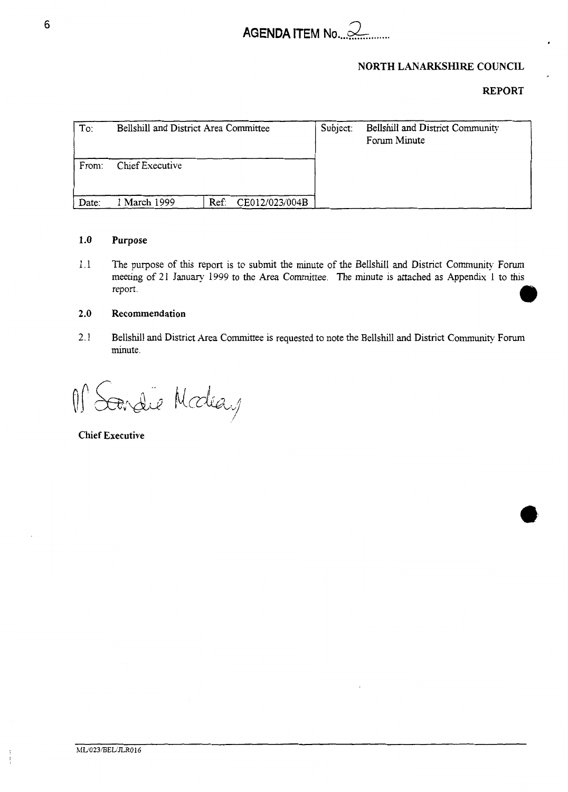

# **NORTH LANARKSHIRE COUNCIL**

# **REPORT**

| To:   | Bellshill and District Area Committee |      |                | Subject: | Bellshill and District Community<br>Forum Minute |
|-------|---------------------------------------|------|----------------|----------|--------------------------------------------------|
| From: | Chief Executive                       |      |                |          |                                                  |
| Date: | 1 March 1999                          | Ref: | CE012/023/004B |          |                                                  |

## **1.0 Purpose**

1.1 The purpose of this report is to submit the minute of the Bellshill and District Community Forum meeting of 21 January 1999 to the Area Committee. The minute is attached as Appendix 1 to this report.

# **2.0 Recommendation**

2.1 Bellshill and District Area Committee is requested to note the Bellshill and District Community Forum minute.

M Scardie Modeay

**Chief Executive**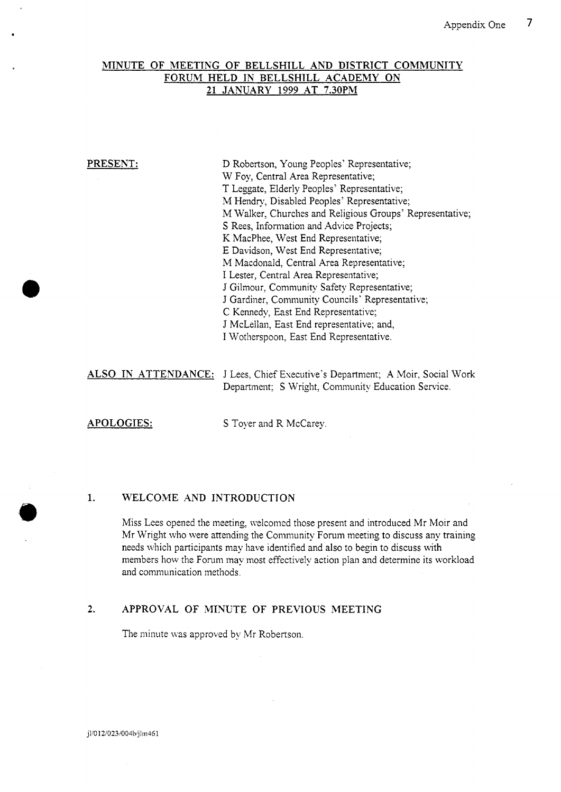## **MINUTE OF MEETING** OF **BELLSHILL AND DISTRICT COMMUNITY FORUM HELD IN BELLSHILL ACADEMY ON 21 JANUARY 1999 AT 7.30PM**

**PRESENT: D** Robertson, Young Peoples' Representative; W Foy, Central Area Representative; T Leggate, Elderly Peoples' Representative; M Hendry, Disabled Peoples' Representative; M Walker, Churches aid Religious Groups' Representative; S Rees, Information and Advice Projects; K MacPhee, West End Representative; E Davidson, West End Representative; M Macdonald: Central Area Representative; I Lester, Central Area Representative; J Gilmour, Community Safety Representative; J Gardiner, Community Councils' Representative; C Kennedy, East End Representative; J McLellan, East End representative; and, I Wotherspoon, East End Representative.

**ALSO IN ATTENDANCE:** J Lees: Chief Executive's Department; A Moir. Social Work Department; S Wright, Community Education Service.

**a** 

**APOLOGIES:** S Toyer and R McCarey.

## **1. WELCOME AND INTRODUCTION**

Miss Lees opened the meeting, welcomed those present and introduced Mr Moir and Mr Wriglit who were attending the Community Forum meting to discuss any training needs which participants may have identified and also to begin to discuss with members how the Forum may most effectively action plan and determine its workload and communication methods.

## **2. APPROVAL** OF **MINUTE** OF **PREVIOUS MEETING**

The minute was approved by Mr Robertson.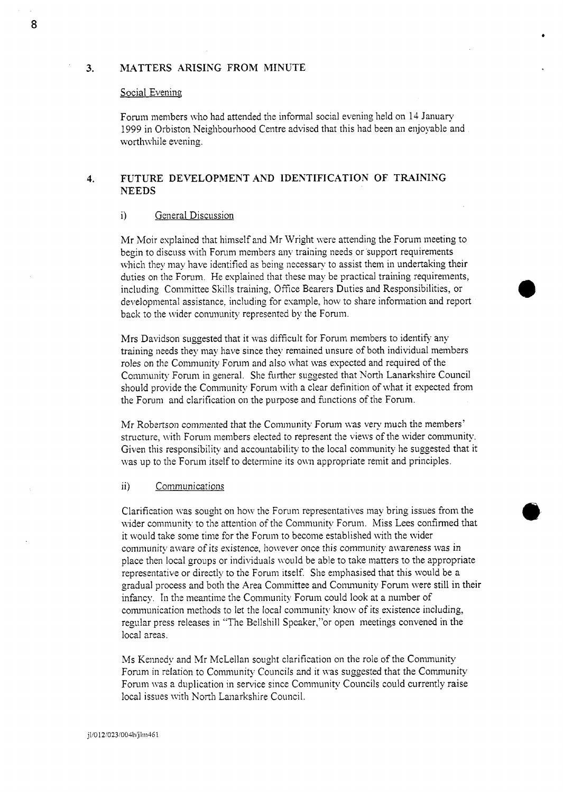## **3. MATTERS ARISING** FROM **MINUTE**

## Social Evening

Forum members who had attended the informal social evening held on 14 January 1999 in Orbiston Neighbourhood Centre advised that this had been an enjoyable and worthwhile evening.

# **4. FUTURE DEVELOPMENT AND IDENTIFICATION OF TRAINING NEEDS**

## i) General Discussion

Mr Moir explained that himself and Mr Wright were attending the Forum meeting to begin to discuss with Forum members any training needs or support requirements which they may have identified as being necessary to assist them in undertaking their duties on the Forum. He explained that these may be practical training requirements, including Committee Skills training, Office Bearers Duties and Responsibilities, or developmental assistance, including for example, how to share information and report back to the wider community represented by the Forum.

Mrs Davidson suggested that it was difficult for Forum members to identify any training needs they may have since they remained unsure of both individual members roles on the Community Forum and also what was expected and required of the Community Forum in general. She further suggested that North Lanarkshire Council should provide the Community Forum with a clear definition of what it expected from the Forum and clarification on the purpose and functions of the Forum.

Mr Robertson commented that the Community Forum was very much the members' structure, with Forum members elected to represent the views of the wider community. Given this responsibility and accountability to the local community he suggested that it was up to the Forum itself to determine its own appropriate remit and principles.

## ii) Communications

Clarification was sought on how the Forum representatives may bring issues from the wider community to the attention of the Community Forum. Miss Lees confirmed that it would take some time for the Forum to become established with the wider community aware of its existence, however once this community awareness was in place then local groups or individuals would be able to take matters to the appropriate representative or directly to the Forum itself. She emphasised that this would be a gradual process and both the Area Committee and Community Forum were still in their infancy. In the meantime the Community Forum could look at a number of communication methods to let the local community know of its existence including, regular press releases in "The Bellshill Spcaker,"or open meetings convened in the local areas.

Ms Kennedy and Mr McLellan sought clarification on the role of the Community Forum in relation to Community Councils and it was suggested that the Community Forum was a duplication in service since Community Councils could currently raise local issues with North Lanarkshire Council.

**8**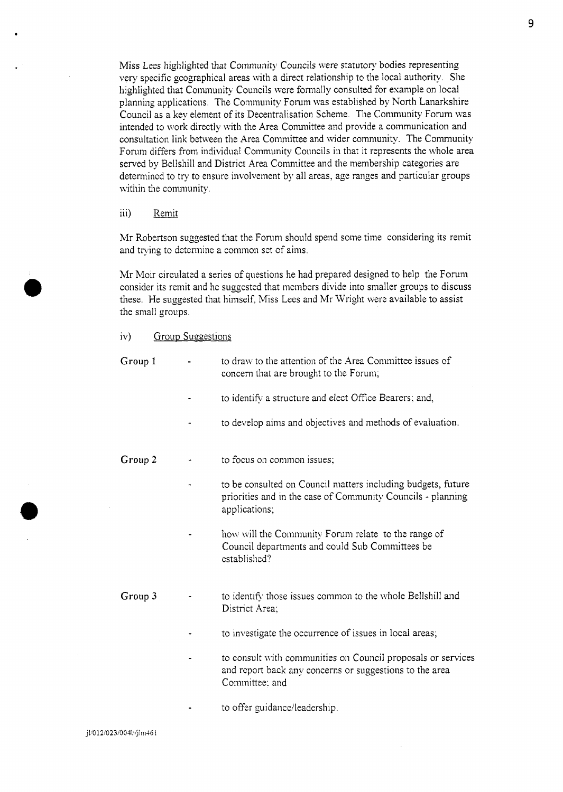Miss Lees highlighted that Community Councils were statutory bodies representing very specific geographical areas with a direct relationship to the local authority. She highlighted that Community Councils were formally consulted for example on local planning applications. The Community Forum was established by North Lanarkshire Council as a key element of its Decentralisation Scheme. The Community Forum was intended to work directly with the Area Committee and provide a communication and consultation link between the Area Committee and wider community. The Community Forum differs from individual Community Councils in that it represents the whole area served by Bellshill and District Area Committee and the membership categories are determined to try to ensure involvement by all areas, age ranges and particular groups within the community.

## iii) Remit

\*

Mr Robertson suggested that the Forum should spend some time considering its remit and trying to determine a common set of aims.

Mr Moir circulated a series of questions he had prepared designed to help the Forum consider its remit and he suggested that members divide into smaller groups to discuss these. He suggested that himself, Miss Lees and Mr Wright were available to assist the small groups.

## iv) Group Suggestions

| Group 1 | to draw to the attention of the Area Committee issues of<br>concern that are brought to the Forum;                                           |
|---------|----------------------------------------------------------------------------------------------------------------------------------------------|
|         | to identify a structure and elect Office Bearers; and,                                                                                       |
|         | to develop aims and objectives and methods of evaluation.                                                                                    |
| Group 2 | to focus on common issues;                                                                                                                   |
|         | to be consulted on Council matters including budgets, future<br>priorities and in the case of Community Councils - planning<br>applications; |
|         | how will the Community Forum relate to the range of<br>Council departments and could Sub Committees be<br>established?                       |
| Group 3 | to identify those issues common to the whole Bellshill and<br>District Area:                                                                 |
|         | to investigate the occurrence of issues in local areas,                                                                                      |
|         | to consult with communities on Council proposals or services<br>and report back any concerns or suggestions to the area<br>Committee; and    |

to offer guidance/leadership.